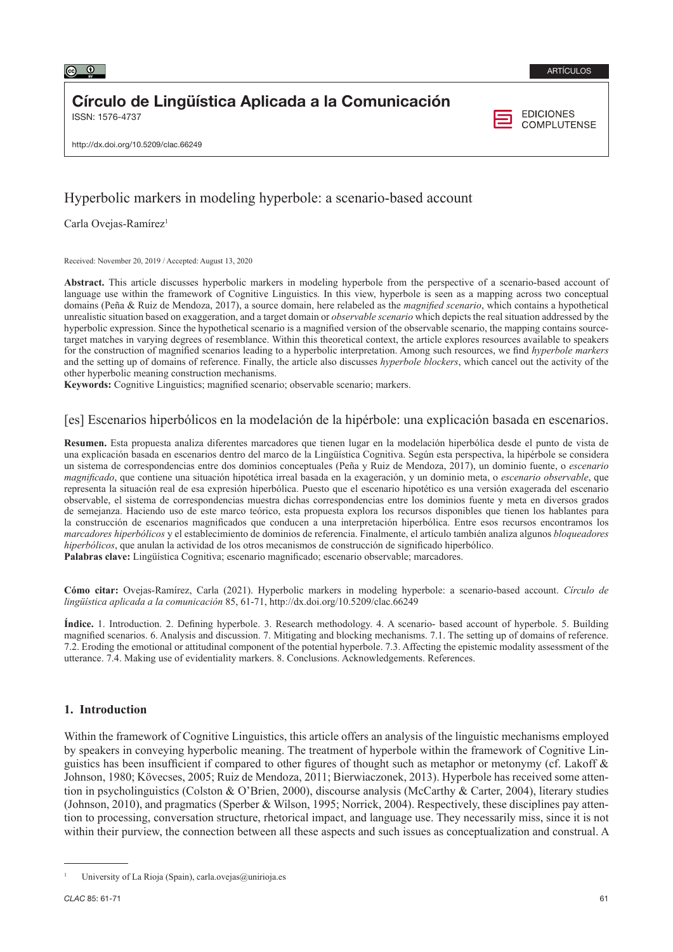

# Círculo de Lingüística Aplicada a la Comunicación

ISSN: 1576-4737

**EDICIONES COMPLUTENSE** 

http://dx.doi.org/10.5209/clac.66249

## Hyperbolic markers in modeling hyperbole: a scenario-based account

Carla Ovejas-Ramírez<sup>1</sup>

Received: November 20, 2019 / Accepted: August 13, 2020

**Abstract.** This article discusses hyperbolic markers in modeling hyperbole from the perspective of a scenario-based account of language use within the framework of Cognitive Linguistics. In this view, hyperbole is seen as a mapping across two conceptual domains (Peña & Ruiz de Mendoza, 2017), a source domain, here relabeled as the *magnified scenario*, which contains a hypothetical unrealistic situation based on exaggeration, and a target domain or *observable scenario* which depicts the real situation addressed by the hyperbolic expression. Since the hypothetical scenario is a magnified version of the observable scenario, the mapping contains sourcetarget matches in varying degrees of resemblance. Within this theoretical context, the article explores resources available to speakers for the construction of magnified scenarios leading to a hyperbolic interpretation. Among such resources, we find *hyperbole markers*  and the setting up of domains of reference. Finally, the article also discusses *hyperbole blockers*, which cancel out the activity of the other hyperbolic meaning construction mechanisms.

**Keywords:** Cognitive Linguistics; magnified scenario; observable scenario; markers.

## [es] Escenarios hiperbólicos en la modelación de la hipérbole: una explicación basada en escenarios.

**Resumen.** Esta propuesta analiza diferentes marcadores que tienen lugar en la modelación hiperbólica desde el punto de vista de una explicación basada en escenarios dentro del marco de la Lingüística Cognitiva. Según esta perspectiva, la hipérbole se considera un sistema de correspondencias entre dos dominios conceptuales (Peña y Ruiz de Mendoza, 2017), un dominio fuente, o *escenario magnificado*, que contiene una situación hipotética irreal basada en la exageración, y un dominio meta, o *escenario observable*, que representa la situación real de esa expresión hiperbólica. Puesto que el escenario hipotético es una versión exagerada del escenario observable, el sistema de correspondencias muestra dichas correspondencias entre los dominios fuente y meta en diversos grados de semejanza. Haciendo uso de este marco teórico, esta propuesta explora los recursos disponibles que tienen los hablantes para la construcción de escenarios magnificados que conducen a una interpretación hiperbólica. Entre esos recursos encontramos los *marcadores hiperbólicos* y el establecimiento de dominios de referencia. Finalmente, el artículo también analiza algunos *bloqueadores hiperbólicos*, que anulan la actividad de los otros mecanismos de construcción de significado hiperbólico. **Palabras clave:** Lingüística Cognitiva; escenario magnificado; escenario observable; marcadores.

**Cómo citar:** Ovejas-Ramírez, Carla (2021). Hyperbolic markers in modeling hyperbole: a scenario-based account. *Círculo de lingüística aplicada a la comunicación* 85, 61-71, http://dx.doi.org/10.5209/clac.66249

**Índice.** 1. Introduction. 2. Defining hyperbole. 3. Research methodology. 4. A scenario- based account of hyperbole. 5. Building magnified scenarios. 6. Analysis and discussion. 7. Mitigating and blocking mechanisms. 7.1. The setting up of domains of reference. 7.2. Eroding the emotional or attitudinal component of the potential hyperbole. 7.3. Affecting the epistemic modality assessment of the utterance. 7.4. Making use of evidentiality markers. 8. Conclusions. Acknowledgements. References.

## **1. Introduction**

Within the framework of Cognitive Linguistics, this article offers an analysis of the linguistic mechanisms employed by speakers in conveying hyperbolic meaning. The treatment of hyperbole within the framework of Cognitive Linguistics has been insufficient if compared to other figures of thought such as metaphor or metonymy (cf. Lakoff & Johnson, 1980; Kövecses, 2005; Ruiz de Mendoza, 2011; Bierwiaczonek, 2013). Hyperbole has received some attention in psycholinguistics (Colston & O'Brien, 2000), discourse analysis (McCarthy & Carter, 2004), literary studies (Johnson, 2010), and pragmatics (Sperber & Wilson, 1995; Norrick, 2004). Respectively, these disciplines pay attention to processing, conversation structure, rhetorical impact, and language use. They necessarily miss, since it is not within their purview, the connection between all these aspects and such issues as conceptualization and construal. A

<sup>1</sup> University of La Rioja (Spain), carla.ovejas@unirioja.es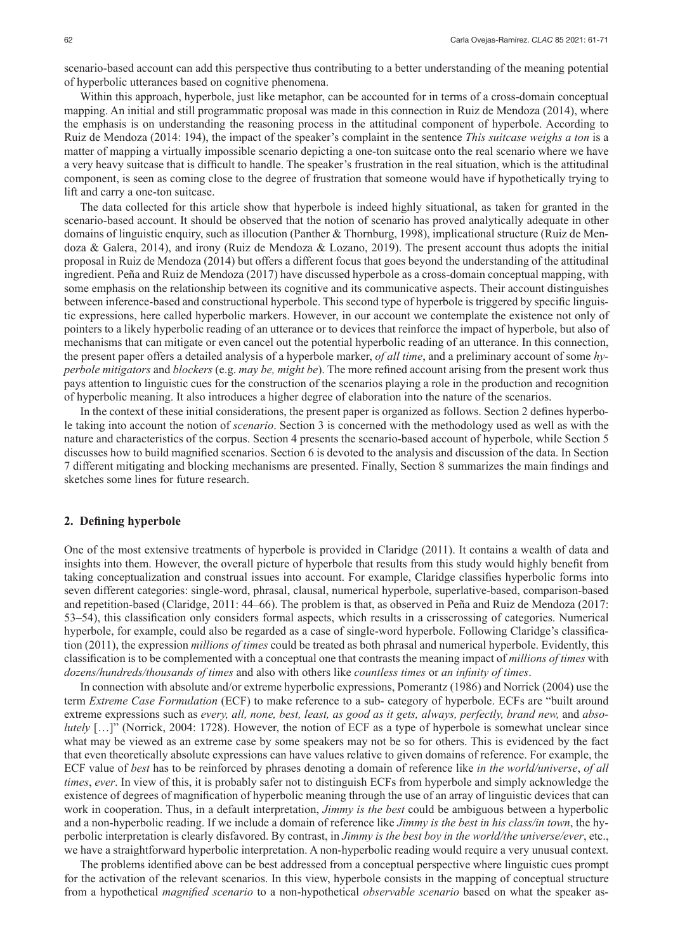scenario-based account can add this perspective thus contributing to a better understanding of the meaning potential of hyperbolic utterances based on cognitive phenomena.

Within this approach, hyperbole, just like metaphor, can be accounted for in terms of a cross-domain conceptual mapping. An initial and still programmatic proposal was made in this connection in Ruiz de Mendoza (2014), where the emphasis is on understanding the reasoning process in the attitudinal component of hyperbole. According to Ruiz de Mendoza (2014: 194), the impact of the speaker's complaint in the sentence *This suitcase weighs a ton* is a matter of mapping a virtually impossible scenario depicting a one-ton suitcase onto the real scenario where we have a very heavy suitcase that is difficult to handle. The speaker's frustration in the real situation, which is the attitudinal component, is seen as coming close to the degree of frustration that someone would have if hypothetically trying to lift and carry a one-ton suitcase.

The data collected for this article show that hyperbole is indeed highly situational, as taken for granted in the scenario-based account. It should be observed that the notion of scenario has proved analytically adequate in other domains of linguistic enquiry, such as illocution (Panther & Thornburg, 1998), implicational structure (Ruiz de Mendoza & Galera, 2014), and irony (Ruiz de Mendoza & Lozano, 2019). The present account thus adopts the initial proposal in Ruiz de Mendoza (2014) but offers a different focus that goes beyond the understanding of the attitudinal ingredient. Peña and Ruiz de Mendoza (2017) have discussed hyperbole as a cross-domain conceptual mapping, with some emphasis on the relationship between its cognitive and its communicative aspects. Their account distinguishes between inference-based and constructional hyperbole. This second type of hyperbole is triggered by specific linguistic expressions, here called hyperbolic markers. However, in our account we contemplate the existence not only of pointers to a likely hyperbolic reading of an utterance or to devices that reinforce the impact of hyperbole, but also of mechanisms that can mitigate or even cancel out the potential hyperbolic reading of an utterance. In this connection, the present paper offers a detailed analysis of a hyperbole marker, *of all time*, and a preliminary account of some *hyperbole mitigators* and *blockers* (e.g. *may be, might be*). The more refined account arising from the present work thus pays attention to linguistic cues for the construction of the scenarios playing a role in the production and recognition of hyperbolic meaning. It also introduces a higher degree of elaboration into the nature of the scenarios.

In the context of these initial considerations, the present paper is organized as follows. Section 2 defines hyperbole taking into account the notion of *scenario*. Section 3 is concerned with the methodology used as well as with the nature and characteristics of the corpus. Section 4 presents the scenario-based account of hyperbole, while Section 5 discusses how to build magnified scenarios. Section 6 is devoted to the analysis and discussion of the data. In Section 7 different mitigating and blocking mechanisms are presented. Finally, Section 8 summarizes the main findings and sketches some lines for future research.

## **2. Defining hyperbole**

One of the most extensive treatments of hyperbole is provided in Claridge (2011). It contains a wealth of data and insights into them. However, the overall picture of hyperbole that results from this study would highly benefit from taking conceptualization and construal issues into account. For example, Claridge classifies hyperbolic forms into seven different categories: single-word, phrasal, clausal, numerical hyperbole, superlative-based, comparison-based and repetition-based (Claridge, 2011: 44–66). The problem is that, as observed in Peña and Ruiz de Mendoza (2017: 53–54), this classification only considers formal aspects, which results in a crisscrossing of categories. Numerical hyperbole, for example, could also be regarded as a case of single-word hyperbole. Following Claridge's classification (2011), the expression *millions of times* could be treated as both phrasal and numerical hyperbole. Evidently, this classification is to be complemented with a conceptual one that contrasts the meaning impact of *millions of times* with *dozens/hundreds/thousands of times* and also with others like *countless times* or *an infinity of times*.

In connection with absolute and/or extreme hyperbolic expressions, Pomerantz (1986) and Norrick (2004) use the term *Extreme Case Formulation* (ECF) to make reference to a sub- category of hyperbole. ECFs are "built around extreme expressions such as *every, all, none, best, least, as good as it gets, always, perfectly, brand new, and <i>absolutely* [...]" (Norrick, 2004: 1728). However, the notion of ECF as a type of hyperbole is somewhat unclear since what may be viewed as an extreme case by some speakers may not be so for others. This is evidenced by the fact that even theoretically absolute expressions can have values relative to given domains of reference. For example, the ECF value of *best* has to be reinforced by phrases denoting a domain of reference like *in the world/universe*, *of all times*, *ever*. In view of this, it is probably safer not to distinguish ECFs from hyperbole and simply acknowledge the existence of degrees of magnification of hyperbolic meaning through the use of an array of linguistic devices that can work in cooperation. Thus, in a default interpretation, *Jimmy is the best* could be ambiguous between a hyperbolic and a non-hyperbolic reading. If we include a domain of reference like *Jimmy is the best in his class/in town*, the hyperbolic interpretation is clearly disfavored. By contrast, in *Jimmy is the best boy in the world/the universe/ever*, etc., we have a straightforward hyperbolic interpretation. A non-hyperbolic reading would require a very unusual context.

The problems identified above can be best addressed from a conceptual perspective where linguistic cues prompt for the activation of the relevant scenarios. In this view, hyperbole consists in the mapping of conceptual structure from a hypothetical *magnified scenario* to a non-hypothetical *observable scenario* based on what the speaker as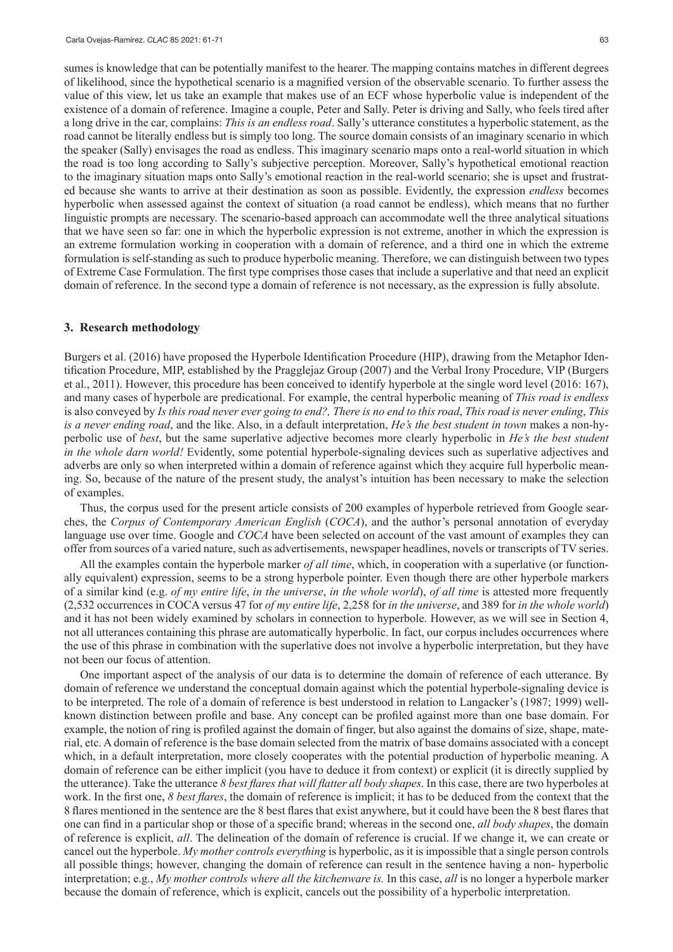sumes is knowledge that can be potentially manifest to the hearer. The mapping contains matches in different degrees of likelihood, since the hypothetical scenario is a magnified version of the observable scenario. To further assess the value of this view, let us take an example that makes use of an ECF whose hyperbolic value is independent of the existence of a domain of reference. Imagine a couple, Peter and Sally. Peter is driving and Sally, who feels tired after a long drive in the car, complains: *This is an endless road*. Sally's utterance constitutes a hyperbolic statement, as the road cannot be literally endless but is simply too long. The source domain consists of an imaginary scenario in which the speaker (Sally) envisages the road as endless. This imaginary scenario maps onto a real-world situation in which the road is too long according to Sally's subjective perception. Moreover, Sally's hypothetical emotional reaction to the imaginary situation maps onto Sally's emotional reaction in the real-world scenario; she is upset and frustrated because she wants to arrive at their destination as soon as possible. Evidently, the expression *endless* becomes hyperbolic when assessed against the context of situation (a road cannot be endless), which means that no further linguistic prompts are necessary. The scenario-based approach can accommodate well the three analytical situations that we have seen so far: one in which the hyperbolic expression is not extreme, another in which the expression is an extreme formulation working in cooperation with a domain of reference, and a third one in which the extreme formulation is self-standing as such to produce hyperbolic meaning. Therefore, we can distinguish between two types of Extreme Case Formulation. The first type comprises those cases that include a superlative and that need an explicit domain of reference. In the second type a domain of reference is not necessary, as the expression is fully absolute.

#### **3. Research methodology**

Burgers et al. (2016) have proposed the Hyperbole Identification Procedure (HIP), drawing from the Metaphor Identification Procedure, MIP, established by the Pragglejaz Group (2007) and the Verbal Irony Procedure, VIP (Burgers et al., 2011). However, this procedure has been conceived to identify hyperbole at the single word level (2016: 167), and many cases of hyperbole are predicational. For example, the central hyperbolic meaning of *This road is endless*  is also conveyed by *Is this road never ever going to end?, There is no end to this road*, *This road is never ending*, *This is a never ending road*, and the like. Also, in a default interpretation, *He's the best student in town* makes a non-hyperbolic use of *best*, but the same superlative adjective becomes more clearly hyperbolic in *He's the best student in the whole darn world!* Evidently, some potential hyperbole-signaling devices such as superlative adjectives and adverbs are only so when interpreted within a domain of reference against which they acquire full hyperbolic meaning. So, because of the nature of the present study, the analyst's intuition has been necessary to make the selection of examples.

Thus, the corpus used for the present article consists of 200 examples of hyperbole retrieved from Google searches, the *Corpus of Contemporary American English* (*COCA*), and the author's personal annotation of everyday language use over time. Google and *COCA* have been selected on account of the vast amount of examples they can offer from sources of a varied nature, such as advertisements, newspaper headlines, novels or transcripts of TV series.

All the examples contain the hyperbole marker *of all time*, which, in cooperation with a superlative (or functionally equivalent) expression, seems to be a strong hyperbole pointer. Even though there are other hyperbole markers of a similar kind (e.g. *of my entire life*, *in the universe*, *in the whole world*), *of all time* is attested more frequently (2,532 occurrences in COCA versus 47 for *of my entire life*, 2,258 for *in the universe*, and 389 for *in the whole world*) and it has not been widely examined by scholars in connection to hyperbole. However, as we will see in Section 4, not all utterances containing this phrase are automatically hyperbolic. In fact, our corpus includes occurrences where the use of this phrase in combination with the superlative does not involve a hyperbolic interpretation, but they have not been our focus of attention.

One important aspect of the analysis of our data is to determine the domain of reference of each utterance. By domain of reference we understand the conceptual domain against which the potential hyperbole-signaling device is to be interpreted. The role of a domain of reference is best understood in relation to Langacker's (1987; 1999) wellknown distinction between profile and base. Any concept can be profiled against more than one base domain. For example, the notion of ring is profiled against the domain of finger, but also against the domains of size, shape, material, etc. A domain of reference is the base domain selected from the matrix of base domains associated with a concept which, in a default interpretation, more closely cooperates with the potential production of hyperbolic meaning. A domain of reference can be either implicit (you have to deduce it from context) or explicit (it is directly supplied by the utterance). Take the utterance *8 best flares that will flatter all body shapes*. In this case, there are two hyperboles at work. In the first one, *8 best flares*, the domain of reference is implicit; it has to be deduced from the context that the 8 flares mentioned in the sentence are the 8 best flares that exist anywhere, but it could have been the 8 best flares that one can find in a particular shop or those of a specific brand; whereas in the second one, *all body shapes*, the domain of reference is explicit, *all*. The delineation of the domain of reference is crucial. If we change it, we can create or cancel out the hyperbole. *My mother controls everything* is hyperbolic, as it is impossible that a single person controls all possible things; however, changing the domain of reference can result in the sentence having a non- hyperbolic interpretation; e.g., *My mother controls where all the kitchenware is.* In this case, *all* is no longer a hyperbole marker because the domain of reference, which is explicit, cancels out the possibility of a hyperbolic interpretation.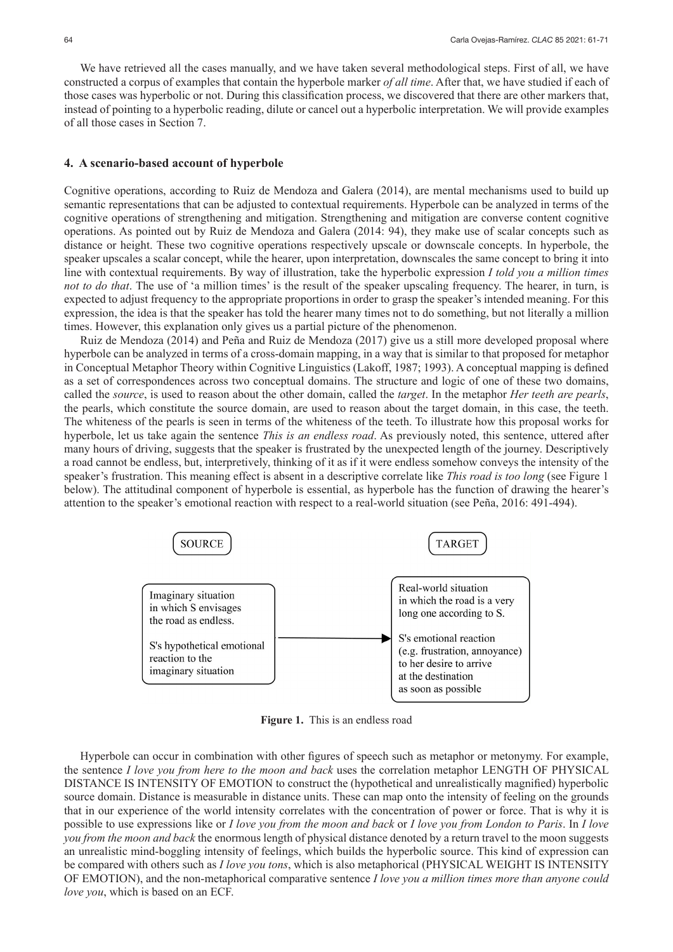We have retrieved all the cases manually, and we have taken several methodological steps. First of all, we have constructed a corpus of examples that contain the hyperbole marker *of all time*. After that, we have studied if each of those cases was hyperbolic or not. During this classification process, we discovered that there are other markers that, instead of pointing to a hyperbolic reading, dilute or cancel out a hyperbolic interpretation. We will provide examples of all those cases in Section 7.

#### **4. A scenario-based account of hyperbole**

Cognitive operations, according to Ruiz de Mendoza and Galera (2014), are mental mechanisms used to build up semantic representations that can be adjusted to contextual requirements. Hyperbole can be analyzed in terms of the cognitive operations of strengthening and mitigation. Strengthening and mitigation are converse content cognitive operations. As pointed out by Ruiz de Mendoza and Galera (2014: 94), they make use of scalar concepts such as distance or height. These two cognitive operations respectively upscale or downscale concepts. In hyperbole, the speaker upscales a scalar concept, while the hearer, upon interpretation, downscales the same concept to bring it into line with contextual requirements. By way of illustration, take the hyperbolic expression *I told you a million times not to do that*. The use of 'a million times' is the result of the speaker upscaling frequency. The hearer, in turn, is expected to adjust frequency to the appropriate proportions in order to grasp the speaker's intended meaning. For this expression, the idea is that the speaker has told the hearer many times not to do something, but not literally a million times. However, this explanation only gives us a partial picture of the phenomenon.

Ruiz de Mendoza (2014) and Peña and Ruiz de Mendoza (2017) give us a still more developed proposal where hyperbole can be analyzed in terms of a cross-domain mapping, in a way that is similar to that proposed for metaphor in Conceptual Metaphor Theory within Cognitive Linguistics (Lakoff, 1987; 1993). A conceptual mapping is defined as a set of correspondences across two conceptual domains. The structure and logic of one of these two domains, called the *source*, is used to reason about the other domain, called the *target*. In the metaphor *Her teeth are pearls*, the pearls, which constitute the source domain, are used to reason about the target domain, in this case, the teeth. The whiteness of the pearls is seen in terms of the whiteness of the teeth. To illustrate how this proposal works for hyperbole, let us take again the sentence *This is an endless road*. As previously noted, this sentence, uttered after many hours of driving, suggests that the speaker is frustrated by the unexpected length of the journey. Descriptively a road cannot be endless, but, interpretively, thinking of it as if it were endless somehow conveys the intensity of the speaker's frustration. This meaning effect is absent in a descriptive correlate like *This road is too long* (see Figure 1 below). The attitudinal component of hyperbole is essential, as hyperbole has the function of drawing the hearer's attention to the speaker's emotional reaction with respect to a real-world situation (see Peña, 2016: 491-494).



**Figure 1.** This is an endless road

Hyperbole can occur in combination with other figures of speech such as metaphor or metonymy. For example, the sentence *I love you from here to the moon and back* uses the correlation metaphor LENGTH OF PHYSICAL DISTANCE IS INTENSITY OF EMOTION to construct the (hypothetical and unrealistically magnified) hyperbolic source domain. Distance is measurable in distance units. These can map onto the intensity of feeling on the grounds that in our experience of the world intensity correlates with the concentration of power or force. That is why it is possible to use expressions like or *I love you from the moon and back* or *I love you from London to Paris*. In *I love you from the moon and back* the enormous length of physical distance denoted by a return travel to the moon suggests an unrealistic mind-boggling intensity of feelings, which builds the hyperbolic source. This kind of expression can be compared with others such as *I love you tons*, which is also metaphorical (PHYSICAL WEIGHT IS INTENSITY OF EMOTION), and the non-metaphorical comparative sentence *I love you a million times more than anyone could love you*, which is based on an ECF.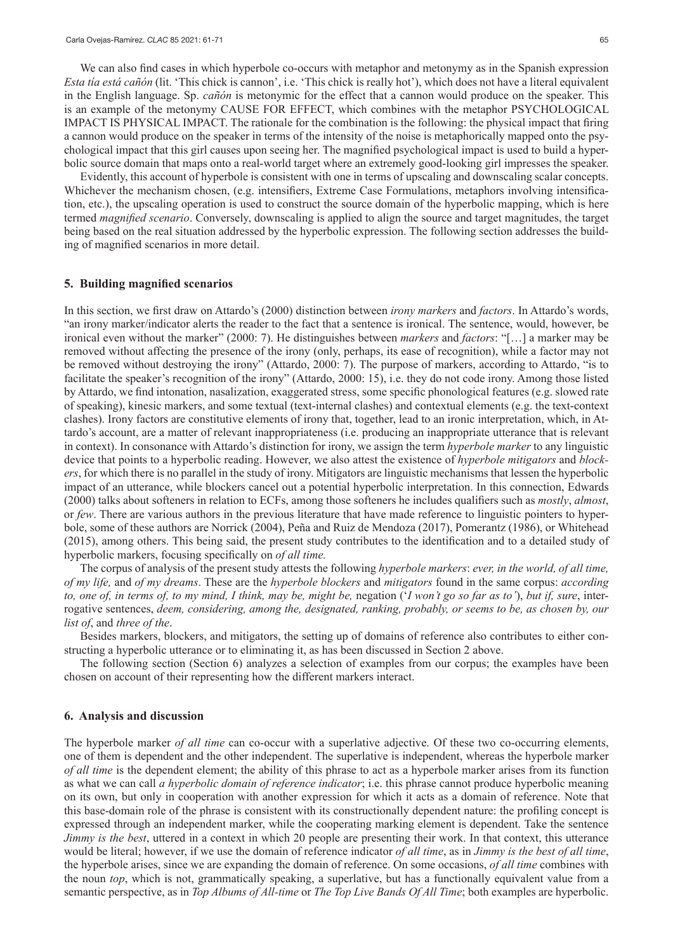We can also find cases in which hyperbole co-occurs with metaphor and metonymy as in the Spanish expression *Esta tía está cañón* (lit. 'This chick is cannon', i.e. 'This chick is really hot'), which does not have a literal equivalent in the English language. Sp. *cañón* is metonymic for the effect that a cannon would produce on the speaker. This is an example of the metonymy CAUSE FOR EFFECT, which combines with the metaphor PSYCHOLOGICAL IMPACT IS PHYSICAL IMPACT. The rationale for the combination is the following: the physical impact that firing a cannon would produce on the speaker in terms of the intensity of the noise is metaphorically mapped onto the psychological impact that this girl causes upon seeing her. The magnified psychological impact is used to build a hyperbolic source domain that maps onto a real-world target where an extremely good-looking girl impresses the speaker.

Evidently, this account of hyperbole is consistent with one in terms of upscaling and downscaling scalar concepts. Whichever the mechanism chosen, (e.g. intensifiers, Extreme Case Formulations, metaphors involving intensification, etc.), the upscaling operation is used to construct the source domain of the hyperbolic mapping, which is here termed *magnified scenario*. Conversely, downscaling is applied to align the source and target magnitudes, the target being based on the real situation addressed by the hyperbolic expression. The following section addresses the building of magnified scenarios in more detail.

#### **5. Building magnified scenarios**

In this section, we first draw on Attardo's (2000) distinction between *irony markers* and *factors*. In Attardo's words, "an irony marker/indicator alerts the reader to the fact that a sentence is ironical. The sentence, would, however, be ironical even without the marker" (2000: 7). He distinguishes between *markers* and *factors*: "[…] a marker may be removed without affecting the presence of the irony (only, perhaps, its ease of recognition), while a factor may not be removed without destroying the irony" (Attardo, 2000: 7). The purpose of markers, according to Attardo, "is to facilitate the speaker's recognition of the irony" (Attardo, 2000: 15), i.e. they do not code irony. Among those listed by Attardo, we find intonation, nasalization, exaggerated stress, some specific phonological features (e.g. slowed rate of speaking), kinesic markers, and some textual (text-internal clashes) and contextual elements (e.g. the text-context clashes). Irony factors are constitutive elements of irony that, together, lead to an ironic interpretation, which, in Attardo's account, are a matter of relevant inappropriateness (i.e. producing an inappropriate utterance that is relevant in context). In consonance with Attardo's distinction for irony, we assign the term *hyperbole marker* to any linguistic device that points to a hyperbolic reading. However, we also attest the existence of *hyperbole mitigators* and *blockers*, for which there is no parallel in the study of irony. Mitigators are linguistic mechanisms that lessen the hyperbolic impact of an utterance, while blockers cancel out a potential hyperbolic interpretation. In this connection, Edwards (2000) talks about softeners in relation to ECFs, among those softeners he includes qualifiers such as *mostly*, *almost*, or *few*. There are various authors in the previous literature that have made reference to linguistic pointers to hyperbole, some of these authors are Norrick (2004), Peña and Ruiz de Mendoza (2017), Pomerantz (1986), or Whitehead (2015), among others. This being said, the present study contributes to the identification and to a detailed study of hyperbolic markers, focusing specifically on *of all time.*

The corpus of analysis of the present study attests the following *hyperbole markers*: *ever, in the world, of all time, of my life,* and *of my dreams*. These are the *hyperbole blockers* and *mitigators* found in the same corpus: *according to, one of, in terms of, to my mind, I think, may be, might be,* negation ('*I won't go so far as to'*), *but if, sure*, interrogative sentences, *deem, considering, among the, designated, ranking, probably, or seems to be, as chosen by, our list of*, and *three of the*.

Besides markers, blockers, and mitigators, the setting up of domains of reference also contributes to either constructing a hyperbolic utterance or to eliminating it, as has been discussed in Section 2 above.

The following section (Section 6) analyzes a selection of examples from our corpus; the examples have been chosen on account of their representing how the different markers interact.

#### **6. Analysis and discussion**

The hyperbole marker *of all time* can co-occur with a superlative adjective. Of these two co-occurring elements, one of them is dependent and the other independent. The superlative is independent, whereas the hyperbole marker *of all time* is the dependent element; the ability of this phrase to act as a hyperbole marker arises from its function as what we can call *a hyperbolic domain of reference indicator*; i.e. this phrase cannot produce hyperbolic meaning on its own, but only in cooperation with another expression for which it acts as a domain of reference. Note that this base-domain role of the phrase is consistent with its constructionally dependent nature: the profiling concept is expressed through an independent marker, while the cooperating marking element is dependent. Take the sentence *Jimmy is the best*, uttered in a context in which 20 people are presenting their work. In that context, this utterance would be literal; however, if we use the domain of reference indicator *of all time*, as in *Jimmy is the best of all time*, the hyperbole arises, since we are expanding the domain of reference. On some occasions, *of all time* combines with the noun *top*, which is not, grammatically speaking, a superlative, but has a functionally equivalent value from a semantic perspective, as in *Top Albums of All-time* or *The Top Live Bands Of All Time*; both examples are hyperbolic.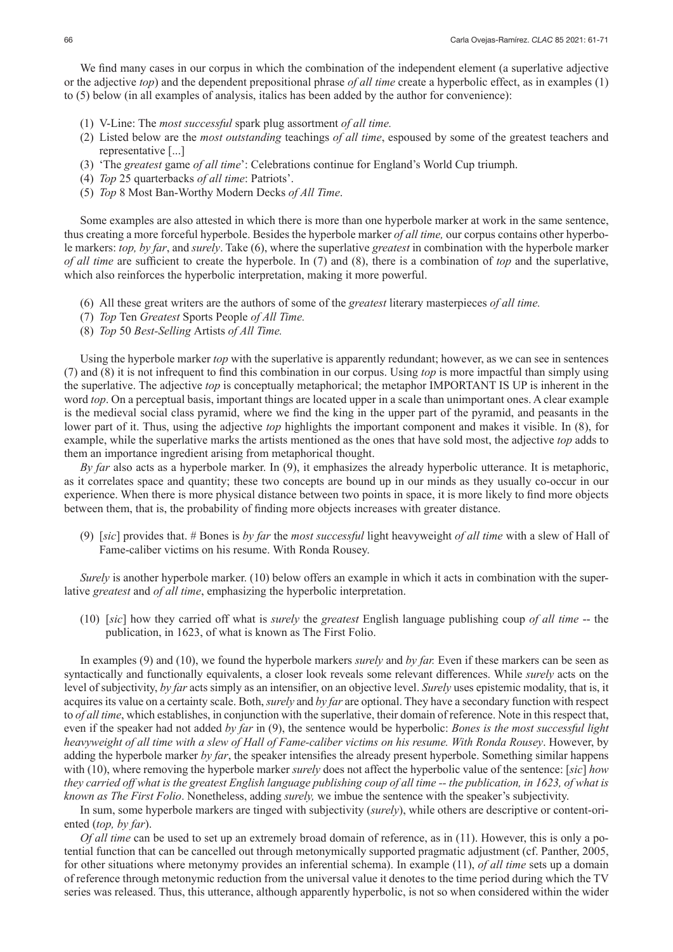We find many cases in our corpus in which the combination of the independent element (a superlative adjective or the adjective *top*) and the dependent prepositional phrase *of all time* create a hyperbolic effect, as in examples (1) to (5) below (in all examples of analysis, italics has been added by the author for convenience):

- (1) V-Line: The *most successful* spark plug assortment *of all time.*
- (2) Listed below are the *most outstanding* teachings *of all time*, espoused by some of the greatest teachers and representative [...]
- (3) 'The *greatest* game *of all time*': Celebrations continue for England's World Cup triumph.
- (4) *Top* 25 quarterbacks *of all time*: Patriots'.
- (5) *Top* 8 Most Ban-Worthy Modern Decks *of All Time*.

Some examples are also attested in which there is more than one hyperbole marker at work in the same sentence, thus creating a more forceful hyperbole. Besides the hyperbole marker *of all time,* our corpus contains other hyperbole markers: *top, by far*, and *surely*. Take (6), where the superlative *greatest* in combination with the hyperbole marker *of all time* are sufficient to create the hyperbole. In (7) and (8), there is a combination of *top* and the superlative, which also reinforces the hyperbolic interpretation, making it more powerful.

- (6) All these great writers are the authors of some of the *greatest* literary masterpieces *of all time.*
- (7) *Top* Ten *Greatest* Sports People *of All Time.*
- (8) *Top* 50 *Best-Selling* Artists *of All Time.*

Using the hyperbole marker *top* with the superlative is apparently redundant; however, as we can see in sentences (7) and (8) it is not infrequent to find this combination in our corpus. Using *top* is more impactful than simply using the superlative. The adjective *top* is conceptually metaphorical; the metaphor IMPORTANT IS UP is inherent in the word *top*. On a perceptual basis, important things are located upper in a scale than unimportant ones. A clear example is the medieval social class pyramid, where we find the king in the upper part of the pyramid, and peasants in the lower part of it. Thus, using the adjective *top* highlights the important component and makes it visible. In (8), for example, while the superlative marks the artists mentioned as the ones that have sold most, the adjective *top* adds to them an importance ingredient arising from metaphorical thought.

*By far* also acts as a hyperbole marker. In (9), it emphasizes the already hyperbolic utterance. It is metaphoric, as it correlates space and quantity; these two concepts are bound up in our minds as they usually co-occur in our experience. When there is more physical distance between two points in space, it is more likely to find more objects between them, that is, the probability of finding more objects increases with greater distance.

(9) [*sic*] provides that. # Bones is *by far* the *most successful* light heavyweight *of all time* with a slew of Hall of Fame-caliber victims on his resume. With Ronda Rousey.

*Surely* is another hyperbole marker. (10) below offers an example in which it acts in combination with the superlative *greatest* and *of all time*, emphasizing the hyperbolic interpretation.

(10) [*sic*] how they carried off what is *surely* the *greatest* English language publishing coup *of all time* -- the publication, in 1623, of what is known as The First Folio.

In examples (9) and (10), we found the hyperbole markers *surely* and *by far.* Even if these markers can be seen as syntactically and functionally equivalents, a closer look reveals some relevant differences. While *surely* acts on the level of subjectivity, *by far* acts simply as an intensifier, on an objective level. *Surely* uses epistemic modality, that is, it acquires its value on a certainty scale. Both, *surely* and *by far* are optional. They have a secondary function with respect to *of all time*, which establishes, in conjunction with the superlative, their domain of reference. Note in this respect that, even if the speaker had not added *by far* in (9), the sentence would be hyperbolic: *Bones is the most successful light heavyweight of all time with a slew of Hall of Fame-caliber victims on his resume. With Ronda Rousey*. However, by adding the hyperbole marker *by far*, the speaker intensifies the already present hyperbole. Something similar happens with (10), where removing the hyperbole marker *surely* does not affect the hyperbolic value of the sentence: [*sic*] *how they carried off what is the greatest English language publishing coup of all time -- the publication, in 1623, of what is known as The First Folio*. Nonetheless, adding *surely,* we imbue the sentence with the speaker's subjectivity.

In sum, some hyperbole markers are tinged with subjectivity (*surely*), while others are descriptive or content-oriented (*top, by far*).

*Of all time* can be used to set up an extremely broad domain of reference, as in (11). However, this is only a potential function that can be cancelled out through metonymically supported pragmatic adjustment (cf. Panther, 2005, for other situations where metonymy provides an inferential schema). In example (11), *of all time* sets up a domain of reference through metonymic reduction from the universal value it denotes to the time period during which the TV series was released. Thus, this utterance, although apparently hyperbolic, is not so when considered within the wider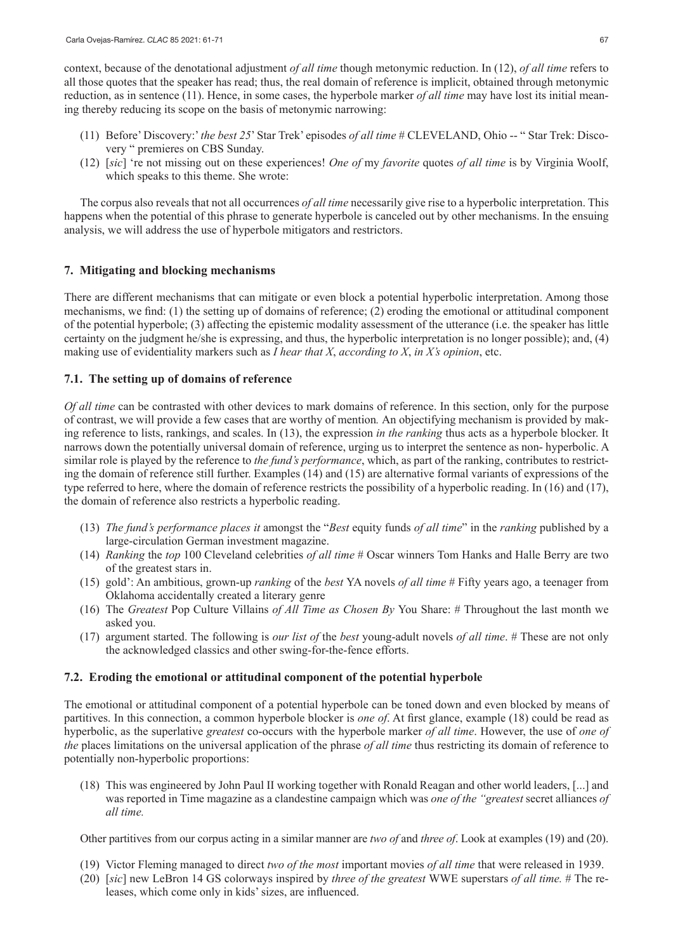context, because of the denotational adjustment *of all time* though metonymic reduction. In (12), *of all time* refers to all those quotes that the speaker has read; thus, the real domain of reference is implicit, obtained through metonymic reduction, as in sentence (11). Hence, in some cases, the hyperbole marker *of all time* may have lost its initial meaning thereby reducing its scope on the basis of metonymic narrowing:

- (11) Before' Discovery:' *the best 25*' Star Trek' episodes *of all time* # CLEVELAND, Ohio -- " Star Trek: Discovery " premieres on CBS Sunday.
- (12) [*sic*] 're not missing out on these experiences! *One of* my *favorite* quotes *of all time* is by Virginia Woolf, which speaks to this theme. She wrote:

The corpus also reveals that not all occurrences *of all time* necessarily give rise to a hyperbolic interpretation. This happens when the potential of this phrase to generate hyperbole is canceled out by other mechanisms. In the ensuing analysis, we will address the use of hyperbole mitigators and restrictors.

## **7. Mitigating and blocking mechanisms**

There are different mechanisms that can mitigate or even block a potential hyperbolic interpretation. Among those mechanisms, we find: (1) the setting up of domains of reference; (2) eroding the emotional or attitudinal component of the potential hyperbole; (3) affecting the epistemic modality assessment of the utterance (i.e. the speaker has little certainty on the judgment he/she is expressing, and thus, the hyperbolic interpretation is no longer possible); and, (4) making use of evidentiality markers such as *I hear that X*, *according to X*, *in X's opinion*, etc.

## **7.1. The setting up of domains of reference**

*Of all time* can be contrasted with other devices to mark domains of reference. In this section, only for the purpose of contrast, we will provide a few cases that are worthy of mention*.* An objectifying mechanism is provided by making reference to lists, rankings, and scales. In (13), the expression *in the ranking* thus acts as a hyperbole blocker. It narrows down the potentially universal domain of reference, urging us to interpret the sentence as non- hyperbolic. A similar role is played by the reference to *the fund's performance*, which, as part of the ranking, contributes to restricting the domain of reference still further. Examples (14) and (15) are alternative formal variants of expressions of the type referred to here, where the domain of reference restricts the possibility of a hyperbolic reading. In (16) and (17), the domain of reference also restricts a hyperbolic reading.

- (13) *The fund's performance places it* amongst the "*Best* equity funds *of all time*" in the *ranking* published by a large-circulation German investment magazine.
- (14) *Ranking* the *top* 100 Cleveland celebrities *of all time* # Oscar winners Tom Hanks and Halle Berry are two of the greatest stars in.
- (15) gold': An ambitious, grown-up *ranking* of the *best* YA novels *of all time* # Fifty years ago, a teenager from Oklahoma accidentally created a literary genre
- (16) The *Greatest* Pop Culture Villains *of All Time as Chosen By* You Share: # Throughout the last month we asked you.
- (17) argument started. The following is *our list of* the *best* young-adult novels *of all time*. # These are not only the acknowledged classics and other swing-for-the-fence efforts.

## **7.2. Eroding the emotional or attitudinal component of the potential hyperbole**

The emotional or attitudinal component of a potential hyperbole can be toned down and even blocked by means of partitives. In this connection, a common hyperbole blocker is *one of*. At first glance, example (18) could be read as hyperbolic, as the superlative *greatest* co-occurs with the hyperbole marker *of all time*. However, the use of *one of the* places limitations on the universal application of the phrase *of all time* thus restricting its domain of reference to potentially non-hyperbolic proportions:

(18) This was engineered by John Paul II working together with Ronald Reagan and other world leaders, [...] and was reported in Time magazine as a clandestine campaign which was *one of the "greatest* secret alliances *of all time.*

Other partitives from our corpus acting in a similar manner are *two of* and *three of*. Look at examples (19) and (20).

- (19) Victor Fleming managed to direct *two of the most* important movies *of all time* that were released in 1939.
- (20) [*sic*] new LeBron 14 GS colorways inspired by *three of the greatest* WWE superstars *of all time.* # The releases, which come only in kids' sizes, are influenced.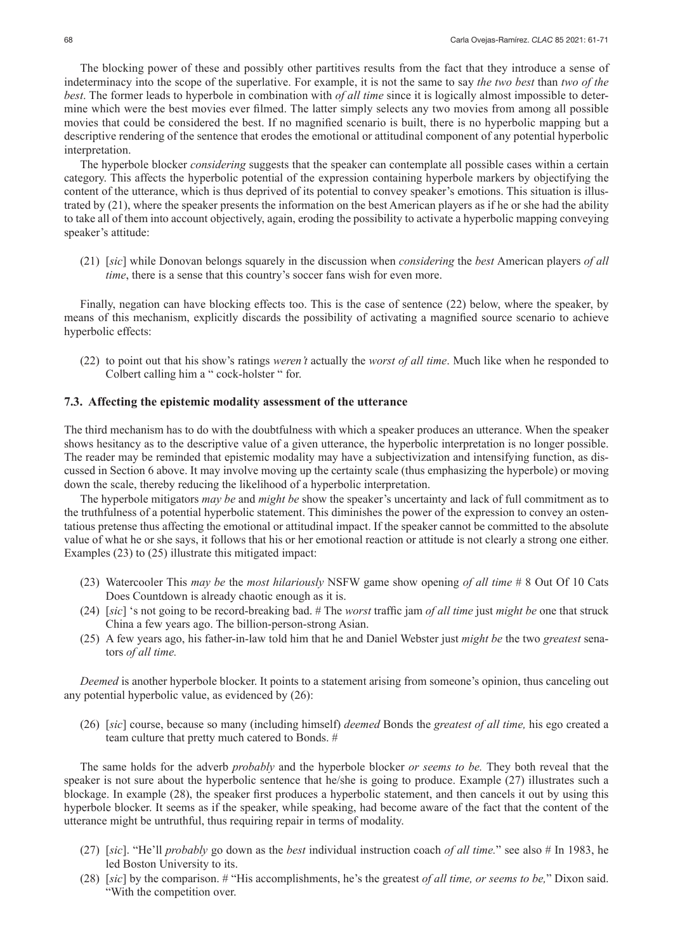The blocking power of these and possibly other partitives results from the fact that they introduce a sense of indeterminacy into the scope of the superlative. For example, it is not the same to say *the two best* than *two of the best*. The former leads to hyperbole in combination with *of all time* since it is logically almost impossible to determine which were the best movies ever filmed. The latter simply selects any two movies from among all possible movies that could be considered the best. If no magnified scenario is built, there is no hyperbolic mapping but a descriptive rendering of the sentence that erodes the emotional or attitudinal component of any potential hyperbolic interpretation.

The hyperbole blocker *considering* suggests that the speaker can contemplate all possible cases within a certain category. This affects the hyperbolic potential of the expression containing hyperbole markers by objectifying the content of the utterance, which is thus deprived of its potential to convey speaker's emotions. This situation is illustrated by (21), where the speaker presents the information on the best American players as if he or she had the ability to take all of them into account objectively, again, eroding the possibility to activate a hyperbolic mapping conveying speaker's attitude:

(21) [*sic*] while Donovan belongs squarely in the discussion when *considering* the *best* American players *of all time*, there is a sense that this country's soccer fans wish for even more.

Finally, negation can have blocking effects too. This is the case of sentence (22) below, where the speaker, by means of this mechanism, explicitly discards the possibility of activating a magnified source scenario to achieve hyperbolic effects:

(22) to point out that his show's ratings *weren't* actually the *worst of all time*. Much like when he responded to Colbert calling him a " cock-holster " for.

## **7.3. Affecting the epistemic modality assessment of the utterance**

The third mechanism has to do with the doubtfulness with which a speaker produces an utterance. When the speaker shows hesitancy as to the descriptive value of a given utterance, the hyperbolic interpretation is no longer possible. The reader may be reminded that epistemic modality may have a subjectivization and intensifying function, as discussed in Section 6 above. It may involve moving up the certainty scale (thus emphasizing the hyperbole) or moving down the scale, thereby reducing the likelihood of a hyperbolic interpretation.

The hyperbole mitigators *may be* and *might be* show the speaker's uncertainty and lack of full commitment as to the truthfulness of a potential hyperbolic statement. This diminishes the power of the expression to convey an ostentatious pretense thus affecting the emotional or attitudinal impact. If the speaker cannot be committed to the absolute value of what he or she says, it follows that his or her emotional reaction or attitude is not clearly a strong one either. Examples (23) to (25) illustrate this mitigated impact:

- (23) Watercooler This *may be* the *most hilariously* NSFW game show opening *of all time* # 8 Out Of 10 Cats Does Countdown is already chaotic enough as it is.
- (24) [*sic*] 's not going to be record-breaking bad. # The *worst* traffic jam *of all time* just *might be* one that struck China a few years ago. The billion-person-strong Asian.
- (25) A few years ago, his father-in-law told him that he and Daniel Webster just *might be* the two *greatest* senators *of all time.*

*Deemed* is another hyperbole blocker. It points to a statement arising from someone's opinion, thus canceling out any potential hyperbolic value, as evidenced by (26):

(26) [*sic*] course, because so many (including himself) *deemed* Bonds the *greatest of all time,* his ego created a team culture that pretty much catered to Bonds. #

The same holds for the adverb *probably* and the hyperbole blocker *or seems to be.* They both reveal that the speaker is not sure about the hyperbolic sentence that he/she is going to produce. Example (27) illustrates such a blockage. In example (28), the speaker first produces a hyperbolic statement, and then cancels it out by using this hyperbole blocker. It seems as if the speaker, while speaking, had become aware of the fact that the content of the utterance might be untruthful, thus requiring repair in terms of modality.

- (27) [*sic*]. "He'll *probably* go down as the *best* individual instruction coach *of all time.*" see also # In 1983, he led Boston University to its.
- (28) [*sic*] by the comparison. # "His accomplishments, he's the greatest *of all time, or seems to be,*" Dixon said. "With the competition over.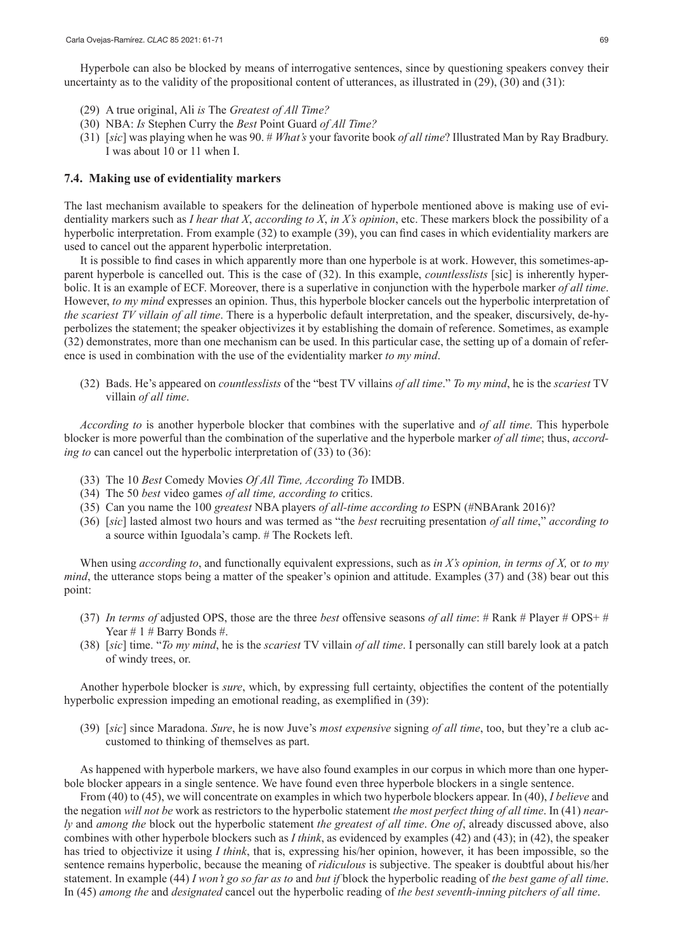Hyperbole can also be blocked by means of interrogative sentences, since by questioning speakers convey their uncertainty as to the validity of the propositional content of utterances, as illustrated in (29), (30) and (31):

- (29) A true original, Ali *is* The *Greatest of All Time?*
- (30) NBA: *Is* Stephen Curry the *Best* Point Guard *of All Time?*
- (31) [*sic*] was playing when he was 90. # *What's* your favorite book *of all time*? Illustrated Man by Ray Bradbury. I was about 10 or 11 when I.

#### **7.4. Making use of evidentiality markers**

The last mechanism available to speakers for the delineation of hyperbole mentioned above is making use of evidentiality markers such as *I hear that X*, *according to X*, *in X's opinion*, etc. These markers block the possibility of a hyperbolic interpretation. From example (32) to example (39), you can find cases in which evidentiality markers are used to cancel out the apparent hyperbolic interpretation.

It is possible to find cases in which apparently more than one hyperbole is at work. However, this sometimes-apparent hyperbole is cancelled out. This is the case of (32). In this example, *countlesslists* [sic] is inherently hyperbolic. It is an example of ECF. Moreover, there is a superlative in conjunction with the hyperbole marker *of all time*. However, *to my mind* expresses an opinion. Thus, this hyperbole blocker cancels out the hyperbolic interpretation of *the scariest TV villain of all time*. There is a hyperbolic default interpretation, and the speaker, discursively, de-hyperbolizes the statement; the speaker objectivizes it by establishing the domain of reference. Sometimes, as example (32) demonstrates, more than one mechanism can be used. In this particular case, the setting up of a domain of reference is used in combination with the use of the evidentiality marker *to my mind*.

(32) Bads. He's appeared on *countlesslists* of the "best TV villains *of all time*." *To my mind*, he is the *scariest* TV villain *of all time*.

*According to* is another hyperbole blocker that combines with the superlative and *of all time*. This hyperbole blocker is more powerful than the combination of the superlative and the hyperbole marker *of all time*; thus, *according to* can cancel out the hyperbolic interpretation of (33) to (36):

- (33) The 10 *Best* Comedy Movies *Of All Time, According To* IMDB.
- (34) The 50 *best* video games *of all time, according to* critics.
- (35) Can you name the 100 *greatest* NBA players *of all-time according to* ESPN (#NBArank 2016)?
- (36) [*sic*] lasted almost two hours and was termed as "the *best* recruiting presentation *of all time*," *according to*  a source within Iguodala's camp. # The Rockets left.

When using *according to*, and functionally equivalent expressions, such as *in X's opinion, in terms of X,* or *to my mind*, the utterance stops being a matter of the speaker's opinion and attitude. Examples (37) and (38) bear out this point:

- (37) *In terms of* adjusted OPS, those are the three *best* offensive seasons *of all time*: # Rank # Player # OPS+ # Year  $\# 1 \#$  Barry Bonds  $\#$ .
- (38) [*sic*] time. "*To my mind*, he is the *scariest* TV villain *of all time*. I personally can still barely look at a patch of windy trees, or.

Another hyperbole blocker is *sure*, which, by expressing full certainty, objectifies the content of the potentially hyperbolic expression impeding an emotional reading, as exemplified in (39):

(39) [*sic*] since Maradona. *Sure*, he is now Juve's *most expensive* signing *of all time*, too, but they're a club accustomed to thinking of themselves as part.

As happened with hyperbole markers, we have also found examples in our corpus in which more than one hyperbole blocker appears in a single sentence. We have found even three hyperbole blockers in a single sentence.

From (40) to (45), we will concentrate on examples in which two hyperbole blockers appear. In (40), *I believe* and the negation *will not be* work as restrictors to the hyperbolic statement *the most perfect thing of all time*. In (41) *nearly* and *among the* block out the hyperbolic statement *the greatest of all time*. *One of*, already discussed above, also combines with other hyperbole blockers such as *I think*, as evidenced by examples (42) and (43); in (42), the speaker has tried to objectivize it using *I think*, that is, expressing his/her opinion, however, it has been impossible, so the sentence remains hyperbolic, because the meaning of *ridiculous* is subjective. The speaker is doubtful about his/her statement. In example (44) *I won't go so far as to* and *but if* block the hyperbolic reading of *the best game of all time*. In (45) *among the* and *designated* cancel out the hyperbolic reading of *the best seventh-inning pitchers of all time*.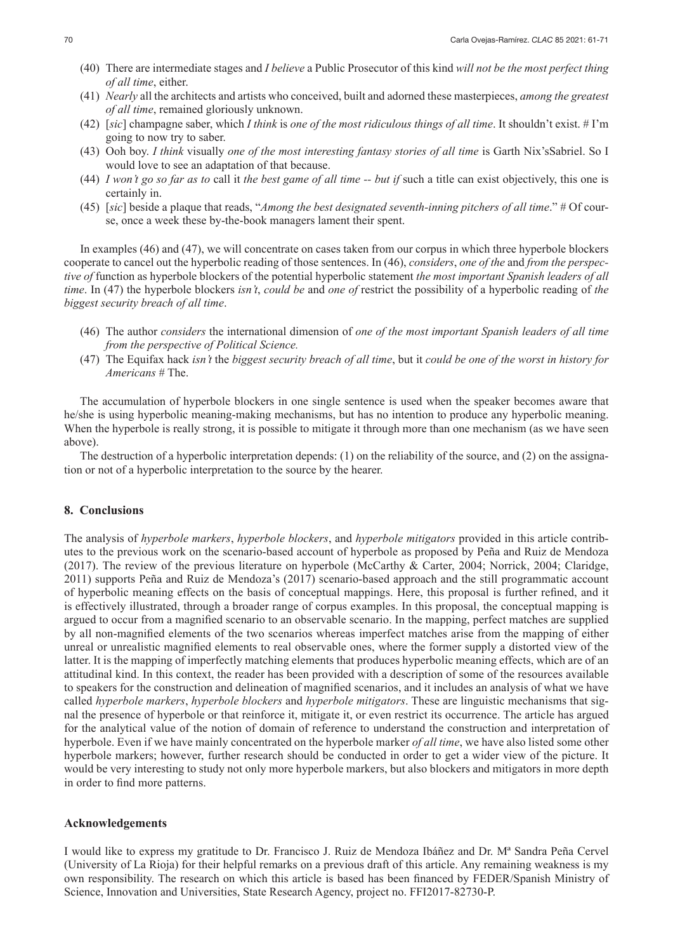- (40) There are intermediate stages and *I believe* a Public Prosecutor of this kind *will not be the most perfect thing of all time*, either.
- (41) *Nearly* all the architects and artists who conceived, built and adorned these masterpieces, *among the greatest of all time*, remained gloriously unknown.
- (42) [*sic*] champagne saber, which *I think* is *one of the most ridiculous things of all time*. It shouldn't exist. # I'm going to now try to saber.
- (43) Ooh boy. *I think* visually *one of the most interesting fantasy stories of all time* is Garth Nix'sSabriel. So I would love to see an adaptation of that because.
- (44) *I won't go so far as to* call it *the best game of all time -- but if* such a title can exist objectively, this one is certainly in.
- (45) [*sic*] beside a plaque that reads, "*Among the best designated seventh-inning pitchers of all time*." # Of course, once a week these by-the-book managers lament their spent.

In examples (46) and (47), we will concentrate on cases taken from our corpus in which three hyperbole blockers cooperate to cancel out the hyperbolic reading of those sentences. In (46), *considers*, *one of the* and *from the perspective of* function as hyperbole blockers of the potential hyperbolic statement *the most important Spanish leaders of all time*. In (47) the hyperbole blockers *isn't*, *could be* and *one of* restrict the possibility of a hyperbolic reading of *the biggest security breach of all time*.

- (46) The author *considers* the international dimension of *one of the most important Spanish leaders of all time from the perspective of Political Science.*
- (47) The Equifax hack *isn't* the *biggest security breach of all time*, but it *could be one of the worst in history for Americans* # The.

The accumulation of hyperbole blockers in one single sentence is used when the speaker becomes aware that he/she is using hyperbolic meaning-making mechanisms, but has no intention to produce any hyperbolic meaning. When the hyperbole is really strong, it is possible to mitigate it through more than one mechanism (as we have seen above).

The destruction of a hyperbolic interpretation depends: (1) on the reliability of the source, and (2) on the assignation or not of a hyperbolic interpretation to the source by the hearer.

#### **8. Conclusions**

The analysis of *hyperbole markers*, *hyperbole blockers*, and *hyperbole mitigators* provided in this article contributes to the previous work on the scenario-based account of hyperbole as proposed by Peña and Ruiz de Mendoza (2017). The review of the previous literature on hyperbole (McCarthy & Carter, 2004; Norrick, 2004; Claridge, 2011) supports Peña and Ruiz de Mendoza's (2017) scenario-based approach and the still programmatic account of hyperbolic meaning effects on the basis of conceptual mappings. Here, this proposal is further refined, and it is effectively illustrated, through a broader range of corpus examples. In this proposal, the conceptual mapping is argued to occur from a magnified scenario to an observable scenario. In the mapping, perfect matches are supplied by all non-magnified elements of the two scenarios whereas imperfect matches arise from the mapping of either unreal or unrealistic magnified elements to real observable ones, where the former supply a distorted view of the latter. It is the mapping of imperfectly matching elements that produces hyperbolic meaning effects, which are of an attitudinal kind. In this context, the reader has been provided with a description of some of the resources available to speakers for the construction and delineation of magnified scenarios, and it includes an analysis of what we have called *hyperbole markers*, *hyperbole blockers* and *hyperbole mitigators*. These are linguistic mechanisms that signal the presence of hyperbole or that reinforce it, mitigate it, or even restrict its occurrence. The article has argued for the analytical value of the notion of domain of reference to understand the construction and interpretation of hyperbole. Even if we have mainly concentrated on the hyperbole marker *of all time*, we have also listed some other hyperbole markers; however, further research should be conducted in order to get a wider view of the picture. It would be very interesting to study not only more hyperbole markers, but also blockers and mitigators in more depth in order to find more patterns.

#### **Acknowledgements**

I would like to express my gratitude to Dr. Francisco J. Ruiz de Mendoza Ibáñez and Dr. Mª Sandra Peña Cervel (University of La Rioja) for their helpful remarks on a previous draft of this article. Any remaining weakness is my own responsibility. The research on which this article is based has been financed by FEDER/Spanish Ministry of Science, Innovation and Universities, State Research Agency, project no. FFI2017-82730-P.